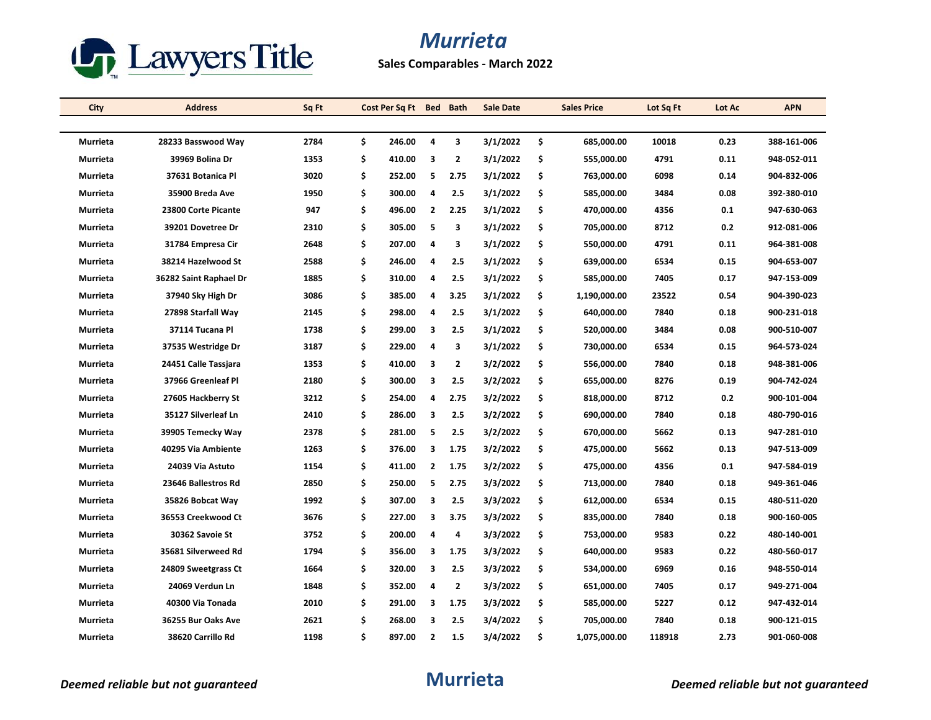

**Sales Comparables - March 2022**

| City            | <b>Address</b>         | Sq Ft | Cost Per Sq Ft Bed Bath |                |                | Sale Date |     | <b>Sales Price</b> | Lot Sq Ft | Lot Ac | <b>APN</b>  |
|-----------------|------------------------|-------|-------------------------|----------------|----------------|-----------|-----|--------------------|-----------|--------|-------------|
|                 |                        |       |                         |                |                |           |     |                    |           |        |             |
| <b>Murrieta</b> | 28233 Basswood Way     | 2784  | \$<br>246.00            | 4              | 3              | 3/1/2022  | \$  | 685,000.00         | 10018     | 0.23   | 388-161-006 |
| Murrieta        | 39969 Bolina Dr        | 1353  | \$<br>410.00            | 3              | $\overline{2}$ | 3/1/2022  | \$  | 555,000.00         | 4791      | 0.11   | 948-052-011 |
| Murrieta        | 37631 Botanica Pl      | 3020  | \$<br>252.00            | 5              | 2.75           | 3/1/2022  | \$  | 763,000.00         | 6098      | 0.14   | 904-832-006 |
| Murrieta        | 35900 Breda Ave        | 1950  | \$<br>300.00            | 4              | 2.5            | 3/1/2022  | \$  | 585,000.00         | 3484      | 0.08   | 392-380-010 |
| Murrieta        | 23800 Corte Picante    | 947   | \$<br>496.00            | $\overline{2}$ | 2.25           | 3/1/2022  | \$  | 470,000.00         | 4356      | 0.1    | 947-630-063 |
| Murrieta        | 39201 Dovetree Dr      | 2310  | \$<br>305.00            | 5              | 3              | 3/1/2022  | \$  | 705,000.00         | 8712      | 0.2    | 912-081-006 |
| Murrieta        | 31784 Empresa Cir      | 2648  | \$<br>207.00            | 4              | 3              | 3/1/2022  | \$  | 550,000.00         | 4791      | 0.11   | 964-381-008 |
| Murrieta        | 38214 Hazelwood St     | 2588  | \$<br>246.00            | 4              | 2.5            | 3/1/2022  | \$  | 639,000.00         | 6534      | 0.15   | 904-653-007 |
| Murrieta        | 36282 Saint Raphael Dr | 1885  | \$<br>310.00            | 4              | 2.5            | 3/1/2022  | \$  | 585,000.00         | 7405      | 0.17   | 947-153-009 |
| Murrieta        | 37940 Sky High Dr      | 3086  | \$<br>385.00            | 4              | 3.25           | 3/1/2022  | \$  | 1,190,000.00       | 23522     | 0.54   | 904-390-023 |
| Murrieta        | 27898 Starfall Way     | 2145  | \$<br>298.00            | 4              | 2.5            | 3/1/2022  | \$  | 640,000.00         | 7840      | 0.18   | 900-231-018 |
| Murrieta        | 37114 Tucana Pl        | 1738  | \$<br>299.00            | 3              | 2.5            | 3/1/2022  | \$  | 520,000.00         | 3484      | 0.08   | 900-510-007 |
| Murrieta        | 37535 Westridge Dr     | 3187  | \$<br>229.00            | 4              | 3              | 3/1/2022  | \$  | 730,000.00         | 6534      | 0.15   | 964-573-024 |
| Murrieta        | 24451 Calle Tassiara   | 1353  | \$<br>410.00            | 3              | $\overline{2}$ | 3/2/2022  | \$  | 556,000.00         | 7840      | 0.18   | 948-381-006 |
| Murrieta        | 37966 Greenleaf Pl     | 2180  | \$<br>300.00            | 3              | 2.5            | 3/2/2022  | \$  | 655,000.00         | 8276      | 0.19   | 904-742-024 |
| Murrieta        | 27605 Hackberry St     | 3212  | \$<br>254.00            | 4              | 2.75           | 3/2/2022  | \$  | 818,000.00         | 8712      | 0.2    | 900-101-004 |
| Murrieta        | 35127 Silverleaf Ln    | 2410  | \$<br>286.00            | 3              | 2.5            | 3/2/2022  | \$  | 690,000.00         | 7840      | 0.18   | 480-790-016 |
| Murrieta        | 39905 Temecky Way      | 2378  | \$<br>281.00            | 5              | 2.5            | 3/2/2022  | \$  | 670,000.00         | 5662      | 0.13   | 947-281-010 |
| Murrieta        | 40295 Via Ambiente     | 1263  | \$<br>376.00            | 3              | 1.75           | 3/2/2022  | \$  | 475,000.00         | 5662      | 0.13   | 947-513-009 |
| Murrieta        | 24039 Via Astuto       | 1154  | \$<br>411.00            | 2              | 1.75           | 3/2/2022  | \$  | 475,000.00         | 4356      | 0.1    | 947-584-019 |
| Murrieta        | 23646 Ballestros Rd    | 2850  | \$<br>250.00            | 5              | 2.75           | 3/3/2022  | \$  | 713,000.00         | 7840      | 0.18   | 949-361-046 |
| Murrieta        | 35826 Bobcat Way       | 1992  | \$<br>307.00            | 3              | 2.5            | 3/3/2022  | \$  | 612,000.00         | 6534      | 0.15   | 480-511-020 |
| Murrieta        | 36553 Creekwood Ct     | 3676  | \$<br>227.00            | 3              | 3.75           | 3/3/2022  | \$  | 835,000.00         | 7840      | 0.18   | 900-160-005 |
| Murrieta        | 30362 Savoie St        | 3752  | \$<br>200.00            | 4              | 4              | 3/3/2022  | \$  | 753,000.00         | 9583      | 0.22   | 480-140-001 |
| Murrieta        | 35681 Silverweed Rd    | 1794  | \$<br>356.00            | 3              | 1.75           | 3/3/2022  | \$  | 640,000.00         | 9583      | 0.22   | 480-560-017 |
| Murrieta        | 24809 Sweetgrass Ct    | 1664  | \$<br>320.00            | 3              | 2.5            | 3/3/2022  | \$  | 534,000.00         | 6969      | 0.16   | 948-550-014 |
| Murrieta        | 24069 Verdun Ln        | 1848  | \$<br>352.00            | 4              | $\overline{2}$ | 3/3/2022  | \$  | 651,000.00         | 7405      | 0.17   | 949-271-004 |
| Murrieta        | 40300 Via Tonada       | 2010  | \$<br>291.00            | 3              | 1.75           | 3/3/2022  | \$  | 585,000.00         | 5227      | 0.12   | 947-432-014 |
| Murrieta        | 36255 Bur Oaks Ave     | 2621  | \$<br>268.00            | 3              | 2.5            | 3/4/2022  | \$  | 705,000.00         | 7840      | 0.18   | 900-121-015 |
| Murrieta        | 38620 Carrillo Rd      | 1198  | \$<br>897.00            | 2              | 1.5            | 3/4/2022  | \$. | 1,075,000.00       | 118918    | 2.73   | 901-060-008 |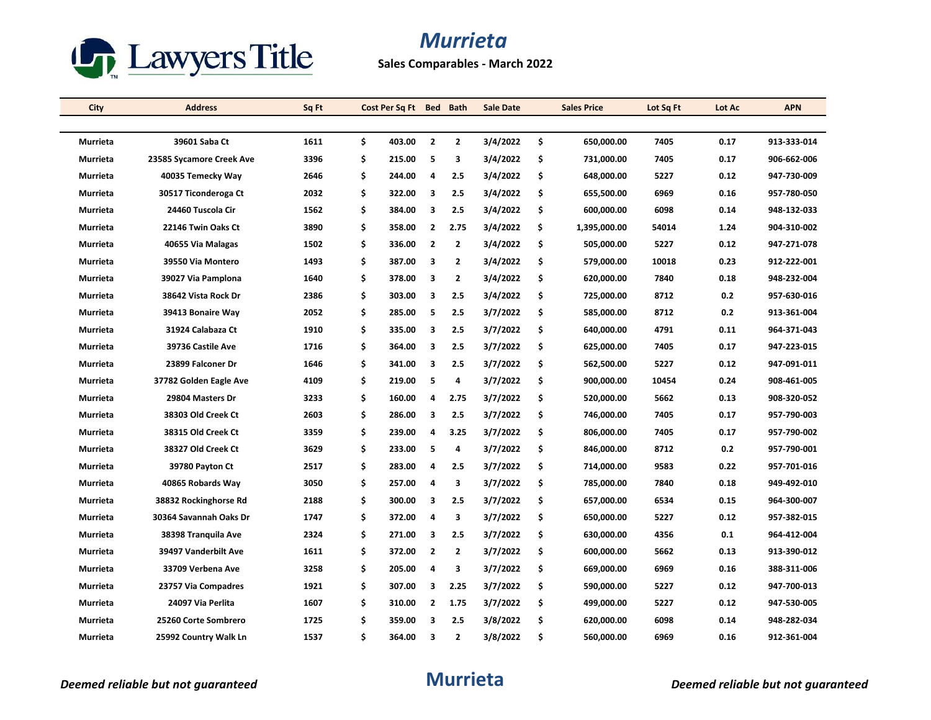

**Sales Comparables - March 2022**

| City            | <b>Address</b>           | Sq Ft | Cost Per Sq Ft Bed Bath |                         |                         | <b>Sale Date</b> |    | <b>Sales Price</b> | Lot Sq Ft | Lot Ac | <b>APN</b>  |
|-----------------|--------------------------|-------|-------------------------|-------------------------|-------------------------|------------------|----|--------------------|-----------|--------|-------------|
|                 |                          |       |                         |                         |                         |                  |    |                    |           |        |             |
| Murrieta        | 39601 Saba Ct            | 1611  | \$<br>403.00            | $\overline{\mathbf{2}}$ | $\overline{2}$          | 3/4/2022         | \$ | 650,000.00         | 7405      | 0.17   | 913-333-014 |
| <b>Murrieta</b> | 23585 Sycamore Creek Ave | 3396  | \$<br>215.00            | 5                       | 3                       | 3/4/2022         | \$ | 731,000.00         | 7405      | 0.17   | 906-662-006 |
| Murrieta        | 40035 Temecky Way        | 2646  | \$<br>244.00            | 4                       | 2.5                     | 3/4/2022         | \$ | 648,000.00         | 5227      | 0.12   | 947-730-009 |
| Murrieta        | 30517 Ticonderoga Ct     | 2032  | \$<br>322.00            | 3                       | 2.5                     | 3/4/2022         | \$ | 655,500.00         | 6969      | 0.16   | 957-780-050 |
| Murrieta        | 24460 Tuscola Cir        | 1562  | \$<br>384.00            | 3                       | 2.5                     | 3/4/2022         | \$ | 600,000.00         | 6098      | 0.14   | 948 132 033 |
| Murrieta        | 22146 Twin Oaks Ct       | 3890  | \$<br>358.00            | $\overline{2}$          | 2.75                    | 3/4/2022         | \$ | 1,395,000.00       | 54014     | 1.24   | 904-310-002 |
| Murrieta        | 40655 Via Malagas        | 1502  | \$<br>336.00            | $\overline{\mathbf{2}}$ | $\mathbf{2}$            | 3/4/2022         | \$ | 505,000.00         | 5227      | 0.12   | 947-271-078 |
| Murrieta        | 39550 Via Montero        | 1493  | \$<br>387.00            | 3                       | $\mathbf{2}$            | 3/4/2022         | \$ | 579,000.00         | 10018     | 0.23   | 912-222-001 |
| Murrieta        | 39027 Via Pamplona       | 1640  | \$<br>378.00            | 3                       | 2                       | 3/4/2022         | \$ | 620,000.00         | 7840      | 0.18   | 948-232-004 |
| Murrieta        | 38642 Vista Rock Dr      | 2386  | \$<br>303.00            | 3                       | 2.5                     | 3/4/2022         | \$ | 725,000.00         | 8712      | 0.2    | 957-630-016 |
| Murrieta        | 39413 Bonaire Way        | 2052  | \$<br>285.00            | 5                       | 2.5                     | 3/7/2022         | \$ | 585,000.00         | 8712      | 0.2    | 913-361-004 |
| Murrieta        | 31924 Calabaza Ct        | 1910  | \$<br>335.00            | 3                       | 2.5                     | 3/7/2022         | \$ | 640,000.00         | 4791      | 0.11   | 964 371 043 |
| Murrieta        | 39736 Castile Ave        | 1716  | \$<br>364.00            | 3                       | 2.5                     | 3/7/2022         | \$ | 625,000.00         | 7405      | 0.17   | 947-223-015 |
| Murrieta        | 23899 Falconer Dr        | 1646  | \$<br>341.00            | 3                       | 2.5                     | 3/7/2022         | \$ | 562,500.00         | 5227      | 0.12   | 947-091-011 |
| Murrieta        | 37782 Golden Eagle Ave   | 4109  | \$<br>219.00            | 5                       | 4                       | 3/7/2022         | \$ | 900,000.00         | 10454     | 0.24   | 908-461-005 |
| Murrieta        | 29804 Masters Dr         | 3233  | \$<br>160.00            | 4                       | 2.75                    | 3/7/2022         | \$ | 520,000.00         | 5662      | 0.13   | 908-320-052 |
| Murrieta        | 38303 Old Creek Ct       | 2603  | \$<br>286.00            | 3                       | 2.5                     | 3/7/2022         | \$ | 746,000.00         | 7405      | 0.17   | 957-790-003 |
| Murrieta        | 38315 Old Creek Ct       | 3359  | \$<br>239.00            | 4                       | 3.25                    | 3/7/2022         | \$ | 806,000.00         | 7405      | 0.17   | 957-790-002 |
| Murrieta        | 38327 Old Creek Ct       | 3629  | \$<br>233.00            | 5                       | 4                       | 3/7/2022         | \$ | 846,000.00         | 8712      | 0.2    | 957-790-001 |
| Murrieta        | 39780 Payton Ct          | 2517  | \$<br>283.00            | 4                       | 2.5                     | 3/7/2022         | \$ | 714,000.00         | 9583      | 0.22   | 957-701-016 |
| Murrieta        | 40865 Robards Way        | 3050  | \$<br>257.00            | 4                       | 3                       | 3/7/2022         | \$ | 785,000.00         | 7840      | 0.18   | 949-492-010 |
| Murrieta        | 38832 Rockinghorse Rd    | 2188  | \$<br>300.00            | 3                       | 2.5                     | 3/7/2022         | \$ | 657,000.00         | 6534      | 0.15   | 964-300-007 |
| Murrieta        | 30364 Savannah Oaks Dr   | 1747  | \$<br>372.00            | 4                       | 3                       | 3/7/2022         | \$ | 650,000.00         | 5227      | 0.12   | 957-382-015 |
| Murrieta        | 38398 Tranquila Ave      | 2324  | \$<br>271.00            | 3                       | 2.5                     | 3/7/2022         | \$ | 630,000.00         | 4356      | 0.1    | 964-412-004 |
| Murrieta        | 39497 Vanderbilt Ave     | 1611  | \$<br>372.00            | $\overline{\mathbf{2}}$ | $\overline{\mathbf{2}}$ | 3/7/2022         | \$ | 600,000.00         | 5662      | 0.13   | 913-390-012 |
| Murrieta        | 33709 Verbena Ave        | 3258  | \$<br>205.00            | 4                       | 3                       | 3/7/2022         | \$ | 669,000.00         | 6969      | 0.16   | 388-311-006 |
| Murrieta        | 23757 Via Compadres      | 1921  | \$<br>307.00            | 3                       | 2.25                    | 3/7/2022         | \$ | 590,000.00         | 5227      | 0.12   | 947-700-013 |
| Murrieta        | 24097 Via Perlita        | 1607  | \$<br>310.00            | $\mathbf{2}$            | 1.75                    | 3/7/2022         | \$ | 499,000.00         | 5227      | 0.12   | 947-530-005 |
| Murrieta        | 25260 Corte Sombrero     | 1725  | \$<br>359.00            | 3                       | 2.5                     | 3/8/2022         | \$ | 620,000.00         | 6098      | 0.14   | 948-282-034 |
| Murrieta        | 25992 Country Walk Ln    | 1537  | \$<br>364.00            | 3                       | $\overline{2}$          | 3/8/2022         | Ś  | 560,000.00         | 6969      | 0.16   | 912-361-004 |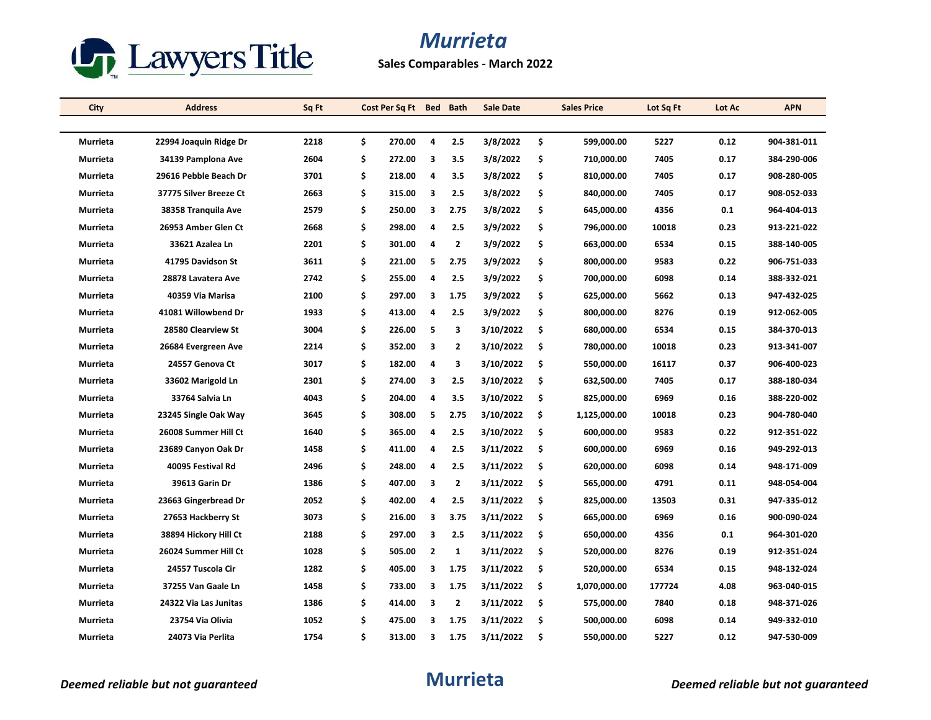

**Sales Comparables - March 2022**

| City            | <b>Address</b>         | Sq Ft |     | Cost Per Sq Ft | <b>Bed</b>   | <b>Bath</b>    | <b>Sale Date</b> |     | <b>Sales Price</b> | Lot Sq Ft | Lot Ac | <b>APN</b>  |
|-----------------|------------------------|-------|-----|----------------|--------------|----------------|------------------|-----|--------------------|-----------|--------|-------------|
|                 |                        |       |     |                |              |                |                  |     |                    |           |        |             |
| <b>Murrieta</b> | 22994 Joaquin Ridge Dr | 2218  | \$  | 270.00         | 4            | 2.5            | 3/8/2022         | \$  | 599,000.00         | 5227      | 0.12   | 904-381-011 |
| Murrieta        | 34139 Pamplona Ave     | 2604  | \$  | 272.00         | 3            | 3.5            | 3/8/2022         | \$  | 710,000.00         | 7405      | 0.17   | 384-290-006 |
| Murrieta        | 29616 Pebble Beach Dr  | 3701  | \$  | 218.00         | 4            | 3.5            | 3/8/2022         | \$  | 810,000.00         | 7405      | 0.17   | 908-280-005 |
| Murrieta        | 37775 Silver Breeze Ct | 2663  | \$  | 315.00         | 3            | 2.5            | 3/8/2022         | \$  | 840,000.00         | 7405      | 0.17   | 908-052-033 |
| Murrieta        | 38358 Tranquila Ave    | 2579  | \$  | 250.00         | 3            | 2.75           | 3/8/2022         | \$  | 645,000.00         | 4356      | 0.1    | 964-404-013 |
| Murrieta        | 26953 Amber Glen Ct    | 2668  | \$  | 298.00         | 4            | 2.5            | 3/9/2022         | \$  | 796,000.00         | 10018     | 0.23   | 913-221-022 |
| Murrieta        | 33621 Azalea Ln        | 2201  | \$  | 301.00         | 4            | $\overline{2}$ | 3/9/2022         | \$  | 663,000.00         | 6534      | 0.15   | 388-140-005 |
| Murrieta        | 41795 Davidson St      | 3611  | \$  | 221.00         | 5            | 2.75           | 3/9/2022         | \$  | 800,000.00         | 9583      | 0.22   | 906-751-033 |
| Murrieta        | 28878 Lavatera Ave     | 2742  | \$  | 255.00         | 4            | 2.5            | 3/9/2022         | \$  | 700,000.00         | 6098      | 0.14   | 388-332-021 |
| Murrieta        | 40359 Via Marisa       | 2100  | \$  | 297.00         | 3            | 1.75           | 3/9/2022         | \$  | 625,000.00         | 5662      | 0.13   | 947-432-025 |
| Murrieta        | 41081 Willowbend Dr    | 1933  | \$  | 413.00         | 4            | 2.5            | 3/9/2022         | \$  | 800,000.00         | 8276      | 0.19   | 912-062-005 |
| Murrieta        | 28580 Clearview St     | 3004  | \$  | 226.00         | 5            | 3              | 3/10/2022        | \$  | 680,000.00         | 6534      | 0.15   | 384-370-013 |
| Murrieta        | 26684 Evergreen Ave    | 2214  | \$  | 352.00         | 3            | $\overline{2}$ | 3/10/2022        | \$  | 780,000.00         | 10018     | 0.23   | 913-341-007 |
| Murrieta        | 24557 Genova Ct        | 3017  | \$  | 182.00         | 4            | 3              | 3/10/2022        | \$  | 550,000.00         | 16117     | 0.37   | 906-400-023 |
| Murrieta        | 33602 Marigold Ln      | 2301  | \$  | 274.00         | 3            | 2.5            | 3/10/2022        | \$  | 632,500.00         | 7405      | 0.17   | 388-180-034 |
| Murrieta        | 33764 Salvia Ln        | 4043  | \$  | 204.00         | 4            | 3.5            | 3/10/2022        | \$  | 825,000.00         | 6969      | 0.16   | 388-220-002 |
| Murrieta        | 23245 Single Oak Way   | 3645  | \$  | 308.00         | 5            | 2.75           | 3/10/2022        | -\$ | 1,125,000.00       | 10018     | 0.23   | 904-780-040 |
| Murrieta        | 26008 Summer Hill Ct   | 1640  | \$  | 365.00         | 4            | 2.5            | 3/10/2022        | \$  | 600,000.00         | 9583      | 0.22   | 912-351-022 |
| Murrieta        | 23689 Canyon Oak Dr    | 1458  | \$  | 411.00         | 4            | 2.5            | 3/11/2022        | \$  | 600,000.00         | 6969      | 0.16   | 949-292-013 |
| Murrieta        | 40095 Festival Rd      | 2496  | \$  | 248.00         | 4            | 2.5            | 3/11/2022        | -S  | 620,000.00         | 6098      | 0.14   | 948-171-009 |
| Murrieta        | 39613 Garin Dr         | 1386  | \$  | 407.00         | 3            | $\overline{2}$ | 3/11/2022        | \$  | 565,000.00         | 4791      | 0.11   | 948-054-004 |
| Murrieta        | 23663 Gingerbread Dr   | 2052  | \$  | 402.00         | 4            | 2.5            | 3/11/2022        | \$  | 825,000.00         | 13503     | 0.31   | 947-335-012 |
| Murrieta        | 27653 Hackberry St     | 3073  | \$  | 216.00         | 3            | 3.75           | 3/11/2022        | -\$ | 665,000.00         | 6969      | 0.16   | 900-090-024 |
| Murrieta        | 38894 Hickory Hill Ct  | 2188  | \$  | 297.00         | 3            | 2.5            | 3/11/2022        | \$  | 650,000.00         | 4356      | 0.1    | 964-301-020 |
| Murrieta        | 26024 Summer Hill Ct   | 1028  | \$  | 505.00         | $\mathbf{2}$ | 1              | 3/11/2022        | -\$ | 520,000.00         | 8276      | 0.19   | 912-351-024 |
| Murrieta        | 24557 Tuscola Cir      | 1282  | \$  | 405.00         | 3            | 1.75           | 3/11/2022        | -\$ | 520,000.00         | 6534      | 0.15   | 948-132-024 |
| Murrieta        | 37255 Van Gaale Ln     | 1458  | \$  | 733.00         | 3            | 1.75           | 3/11/2022        | Ŝ.  | 1,070,000.00       | 177724    | 4.08   | 963-040-015 |
| Murrieta        | 24322 Via Las Junitas  | 1386  | \$. | 414.00         | 3            | $\overline{2}$ | 3/11/2022        | \$  | 575,000.00         | 7840      | 0.18   | 948-371-026 |
| Murrieta        | 23754 Via Olivia       | 1052  | \$  | 475.00         | 3            | 1.75           | 3/11/2022        | \$  | 500,000.00         | 6098      | 0.14   | 949-332-010 |
| Murrieta        | 24073 Via Perlita      | 1754  | \$  | 313.00         | 3            | 1.75           | 3/11/2022        | \$  | 550,000.00         | 5227      | 0.12   | 947-530-009 |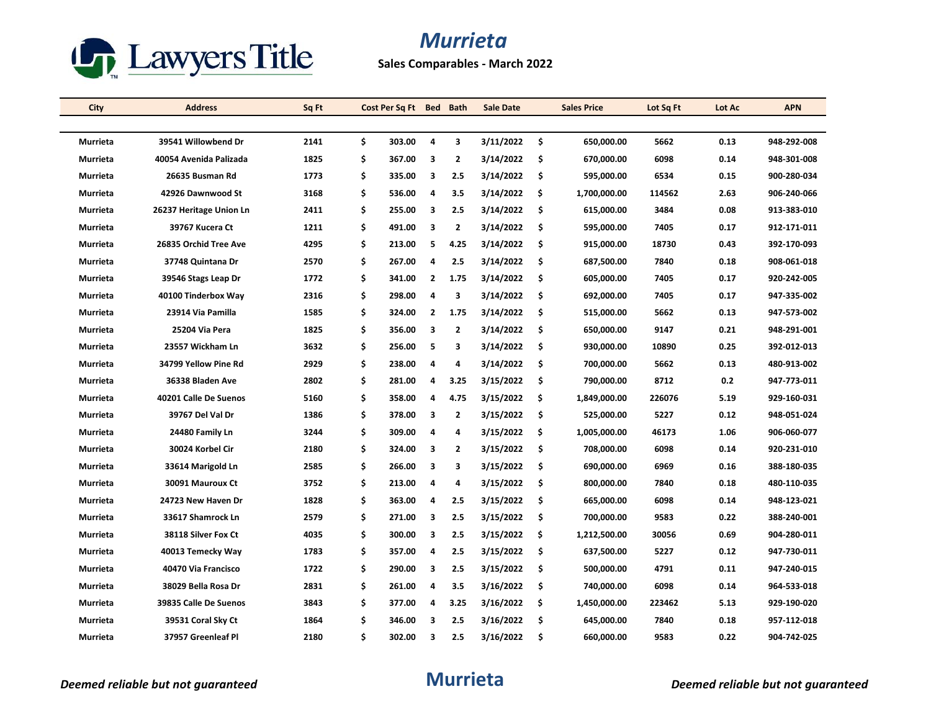

**Sales Comparables - March 2022**

| City            | <b>Address</b>          | Sq Ft | Cost Per Sq Ft Bed Bath |                |                | <b>Sale Date</b> |     | <b>Sales Price</b> | Lot Sq Ft | Lot Ac | <b>APN</b>  |
|-----------------|-------------------------|-------|-------------------------|----------------|----------------|------------------|-----|--------------------|-----------|--------|-------------|
|                 |                         |       |                         |                |                |                  |     |                    |           |        |             |
| Murrieta        | 39541 Willowbend Dr     | 2141  | \$<br>303.00            | 4              | 3              | 3/11/2022        | \$  | 650,000.00         | 5662      | 0.13   | 948-292-008 |
| Murrieta        | 40054 Avenida Palizada  | 1825  | \$<br>367.00            | 3              | $\mathbf{2}$   | 3/14/2022        | \$  | 670,000.00         | 6098      | 0.14   | 948-301-008 |
| Murrieta        | 26635 Busman Rd         | 1773  | \$<br>335.00            | 3              | 2.5            | 3/14/2022        | \$  | 595,000.00         | 6534      | 0.15   | 900-280-034 |
| Murrieta        | 42926 Dawnwood St       | 3168  | \$<br>536.00            | 4              | 3.5            | 3/14/2022        | \$  | 1,700,000.00       | 114562    | 2.63   | 906-240-066 |
| Murrieta        | 26237 Heritage Union Ln | 2411  | \$<br>255.00            | 3              | 2.5            | 3/14/2022        | \$  | 615,000.00         | 3484      | 0.08   | 913-383-010 |
| Murrieta        | 39767 Kucera Ct         | 1211  | \$<br>491.00            | 3              | 2              | 3/14/2022        | \$  | 595,000.00         | 7405      | 0.17   | 912-171-011 |
| Murrieta        | 26835 Orchid Tree Ave   | 4295  | \$<br>213.00            | 5              | 4.25           | 3/14/2022        | \$  | 915,000.00         | 18730     | 0.43   | 392-170-093 |
| Murrieta        | 37748 Quintana Dr       | 2570  | \$<br>267.00            | 4              | 2.5            | 3/14/2022        | \$  | 687,500.00         | 7840      | 0.18   | 908-061-018 |
| Murrieta        | 39546 Stags Leap Dr     | 1772  | \$<br>341.00            | $\overline{2}$ | 1.75           | 3/14/2022        | \$  | 605,000.00         | 7405      | 0.17   | 920-242-005 |
| Murrieta        | 40100 Tinderbox Way     | 2316  | \$<br>298.00            | 4              | 3              | 3/14/2022        | \$  | 692,000.00         | 7405      | 0.17   | 947-335-002 |
| Murrieta        | 23914 Via Pamilla       | 1585  | \$<br>324.00            | $\mathbf{2}$   | 1.75           | 3/14/2022        | \$  | 515,000.00         | 5662      | 0.13   | 947-573-002 |
| Murrieta        | 25204 Via Pera          | 1825  | \$<br>356.00            | 3              | $\mathbf{2}$   | 3/14/2022        | \$  | 650,000.00         | 9147      | 0.21   | 948-291-001 |
| Murrieta        | 23557 Wickham Ln        | 3632  | \$<br>256.00            | 5              | 3              | 3/14/2022        | \$  | 930,000.00         | 10890     | 0.25   | 392-012-013 |
| Murrieta        | 34799 Yellow Pine Rd    | 2929  | \$<br>238.00            | 4              | 4              | 3/14/2022        | \$  | 700,000.00         | 5662      | 0.13   | 480-913-002 |
| Murrieta        | 36338 Bladen Ave        | 2802  | \$<br>281.00            | 4              | 3.25           | 3/15/2022        | Ŝ.  | 790,000.00         | 8712      | 0.2    | 947 773 011 |
| Murrieta        | 40201 Calle De Suenos   | 5160  | \$<br>358.00            | 4              | 4.75           | 3/15/2022        | \$  | 1,849,000.00       | 226076    | 5.19   | 929-160-031 |
| <b>Murrieta</b> | 39767 Del Val Dr        | 1386  | \$<br>378.00            | 3              | $\overline{2}$ | 3/15/2022        | \$  | 525,000.00         | 5227      | 0.12   | 948-051-024 |
| Murrieta        | 24480 Family Ln         | 3244  | \$<br>309.00            | 4              | 4              | 3/15/2022        | \$  | 1,005,000.00       | 46173     | 1.06   | 906-060-077 |
| Murrieta        | 30024 Korbel Cir        | 2180  | \$<br>324.00            | 3              | $\mathbf{2}$   | 3/15/2022        | \$  | 708,000.00         | 6098      | 0.14   | 920-231-010 |
| Murrieta        | 33614 Marigold Ln       | 2585  | \$<br>266.00            | 3              | 3              | 3/15/2022        | \$  | 690,000.00         | 6969      | 0.16   | 388-180-035 |
| Murrieta        | 30091 Mauroux Ct        | 3752  | \$<br>213.00            | 4              | 4              | 3/15/2022        | \$. | 800,000.00         | 7840      | 0.18   | 480-110-035 |
| Murrieta        | 24723 New Haven Dr      | 1828  | \$<br>363.00            | 4              | 2.5            | 3/15/2022        | \$  | 665,000.00         | 6098      | 0.14   | 948-123-021 |
| Murrieta        | 33617 Shamrock Ln       | 2579  | \$<br>271.00            | 3              | 2.5            | 3/15/2022        | \$  | 700,000.00         | 9583      | 0.22   | 388-240-001 |
| Murrieta        | 38118 Silver Fox Ct     | 4035  | \$<br>300.00            | 3              | 2.5            | 3/15/2022        | \$  | 1,212,500.00       | 30056     | 0.69   | 904-280-011 |
| Murrieta        | 40013 Temecky Way       | 1783  | \$<br>357.00            | 4              | 2.5            | 3/15/2022        | \$  | 637,500.00         | 5227      | 0.12   | 947-730-011 |
| Murrieta        | 40470 Via Francisco     | 1722  | \$<br>290.00            | 3              | 2.5            | 3/15/2022        | \$  | 500,000.00         | 4791      | 0.11   | 947-240-015 |
| Murrieta        | 38029 Bella Rosa Dr     | 2831  | \$<br>261.00            | 4              | 3.5            | 3/16/2022        | \$  | 740,000.00         | 6098      | 0.14   | 964-533-018 |
| Murrieta        | 39835 Calle De Suenos   | 3843  | \$<br>377.00            | 4              | 3.25           | 3/16/2022        | \$  | 1,450,000.00       | 223462    | 5.13   | 929-190-020 |
| Murrieta        | 39531 Coral Sky Ct      | 1864  | \$<br>346.00            | 3              | 2.5            | 3/16/2022        | \$  | 645,000.00         | 7840      | 0.18   | 957-112-018 |
| Murrieta        | 37957 Greenleaf Pl      | 2180  | \$<br>302.00            | 3              | 2.5            | 3/16/2022        | \$  | 660,000.00         | 9583      | 0.22   | 904-742-025 |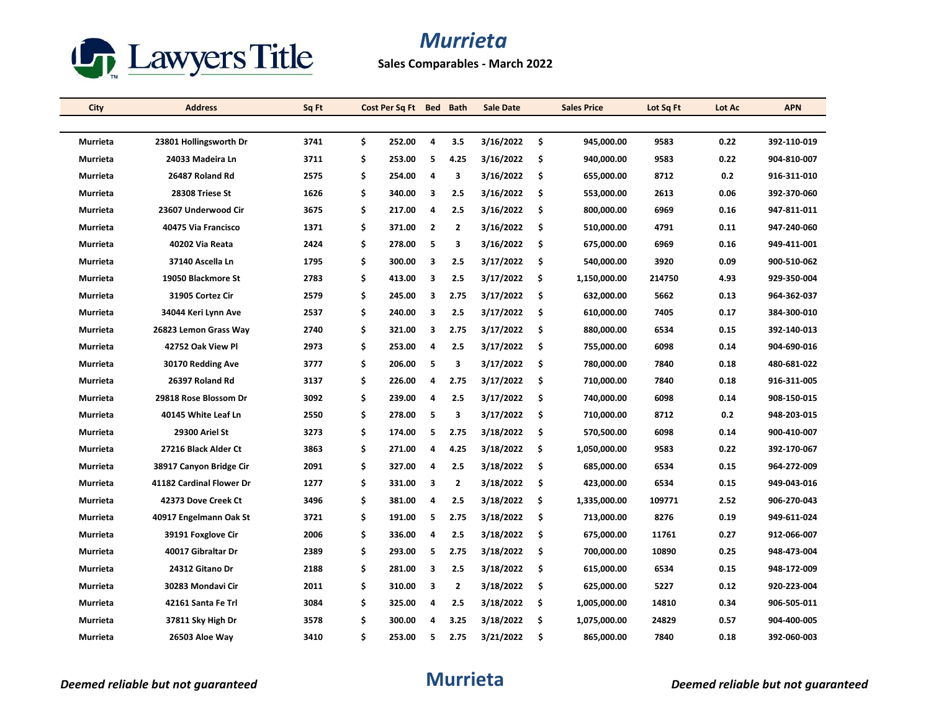

**Sales Comparables - March 2022**

| City            | <b>Address</b>           | Sq Ft | Cost Per Sq Ft | <b>Bed</b>     | <b>Bath</b>    | <b>Sale Date</b> |     | <b>Sales Price</b> | Lot Sq Ft | Lot Ac | <b>APN</b>  |
|-----------------|--------------------------|-------|----------------|----------------|----------------|------------------|-----|--------------------|-----------|--------|-------------|
|                 |                          |       |                |                |                |                  |     |                    |           |        |             |
| <b>Murrieta</b> | 23801 Hollingsworth Dr   | 3741  | \$<br>252.00   | 4              | 3.5            | 3/16/2022        | -\$ | 945,000.00         | 9583      | 0.22   | 392-110-019 |
| Murrieta        | 24033 Madeira Ln         | 3711  | \$<br>253.00   | 5              | 4.25           | 3/16/2022        | Ŝ.  | 940,000.00         | 9583      | 0.22   | 904-810-007 |
| Murrieta        | 26487 Roland Rd          | 2575  | \$<br>254.00   | 4              | 3              | 3/16/2022        | \$  | 655,000.00         | 8712      | 0.2    | 916-311-010 |
| Murrieta        | 28308 Triese St          | 1626  | \$<br>340.00   | 3              | 2.5            | 3/16/2022        | \$  | 553,000.00         | 2613      | 0.06   | 392-370-060 |
| Murrieta        | 23607 Underwood Cir      | 3675  | \$<br>217.00   | 4              | 2.5            | 3/16/2022        | -\$ | 800,000.00         | 6969      | 0.16   | 947-811-011 |
| Murrieta        | 40475 Via Francisco      | 1371  | \$<br>371.00   | $\overline{2}$ | $\overline{2}$ | 3/16/2022        | -\$ | 510,000.00         | 4791      | 0.11   | 947-240-060 |
| Murrieta        | 40202 Via Reata          | 2424  | \$<br>278.00   | 5              | 3              | 3/16/2022        | \$  | 675,000.00         | 6969      | 0.16   | 949-411-001 |
| Murrieta        | 37140 Ascella Ln         | 1795  | \$<br>300.00   | 3              | 2.5            | 3/17/2022        | \$  | 540,000.00         | 3920      | 0.09   | 900-510-062 |
| Murrieta        | 19050 Blackmore St       | 2783  | \$<br>413.00   | 3              | 2.5            | 3/17/2022        | \$  | 1,150,000.00       | 214750    | 4.93   | 929-350-004 |
| Murrieta        | 31905 Cortez Cir         | 2579  | \$<br>245.00   | 3              | 2.75           | 3/17/2022        | \$  | 632,000.00         | 5662      | 0.13   | 964-362-037 |
| Murrieta        | 34044 Keri Lynn Ave      | 2537  | \$<br>240.00   | 3              | 2.5            | 3/17/2022        | -S  | 610,000.00         | 7405      | 0.17   | 384-300-010 |
| Murrieta        | 26823 Lemon Grass Way    | 2740  | \$<br>321.00   | 3              | 2.75           | 3/17/2022        | \$  | 880,000.00         | 6534      | 0.15   | 392-140-013 |
| Murrieta        | 42752 Oak View Pl        | 2973  | \$<br>253.00   | 4              | 2.5            | 3/17/2022        | \$  | 755,000.00         | 6098      | 0.14   | 904-690-016 |
| Murrieta        | 30170 Redding Ave        | 3777  | \$<br>206.00   | 5              | 3              | 3/17/2022        | -\$ | 780,000.00         | 7840      | 0.18   | 480-681-022 |
| Murrieta        | 26397 Roland Rd          | 3137  | \$<br>226.00   | 4              | 2.75           | 3/17/2022        | \$  | 710,000.00         | 7840      | 0.18   | 916-311-005 |
| Murrieta        | 29818 Rose Blossom Dr    | 3092  | \$<br>239.00   | 4              | 2.5            | 3/17/2022        | \$  | 740,000.00         | 6098      | 0.14   | 908-150-015 |
| Murrieta        | 40145 White Leaf Ln      | 2550  | \$<br>278.00   | 5              | 3              | 3/17/2022        | -\$ | 710,000.00         | 8712      | 0.2    | 948-203-015 |
| Murrieta        | 29300 Ariel St           | 3273  | \$<br>174.00   | 5              | 2.75           | 3/18/2022        | \$  | 570,500.00         | 6098      | 0.14   | 900-410-007 |
| Murrieta        | 27216 Black Alder Ct     | 3863  | \$<br>271.00   | 4              | 4.25           | 3/18/2022        | \$  | 1,050,000.00       | 9583      | 0.22   | 392-170-067 |
| Murrieta        | 38917 Canyon Bridge Cir  | 2091  | \$<br>327.00   | 4              | 2.5            | 3/18/2022        | -S  | 685,000.00         | 6534      | 0.15   | 964-272-009 |
| Murrieta        | 41182 Cardinal Flower Dr | 1277  | \$<br>331.00   | 3              | $\overline{2}$ | 3/18/2022        | \$  | 423,000.00         | 6534      | 0.15   | 949-043-016 |
| Murrieta        | 42373 Dove Creek Ct      | 3496  | \$<br>381.00   | 4              | 2.5            | 3/18/2022        | \$  | 1,335,000.00       | 109771    | 2.52   | 906-270-043 |
| Murrieta        | 40917 Engelmann Oak St   | 3721  | \$<br>191.00   | 5              | 2.75           | 3/18/2022        | -\$ | 713,000.00         | 8276      | 0.19   | 949-611-024 |
| Murrieta        | 39191 Foxglove Cir       | 2006  | \$<br>336.00   | 4              | 2.5            | 3/18/2022        | \$  | 675,000.00         | 11761     | 0.27   | 912-066-007 |
| Murrieta        | 40017 Gibraltar Dr       | 2389  | \$<br>293.00   | 5              | 2.75           | 3/18/2022        | -\$ | 700,000.00         | 10890     | 0.25   | 948-473-004 |
| Murrieta        | 24312 Gitano Dr          | 2188  | \$<br>281.00   | 3              | 2.5            | 3/18/2022        | -\$ | 615,000.00         | 6534      | 0.15   | 948-172-009 |
| Murrieta        | 30283 Mondavi Cir        | 2011  | \$<br>310.00   | 3              | $\overline{2}$ | 3/18/2022        | \$. | 625,000.00         | 5227      | 0.12   | 920-223-004 |
| Murrieta        | 42161 Santa Fe Trl       | 3084  | \$<br>325.00   | 4              | 2.5            | 3/18/2022        | \$  | 1,005,000.00       | 14810     | 0.34   | 906-505-011 |
| Murrieta        | 37811 Sky High Dr        | 3578  | \$<br>300.00   | 4              | 3.25           | 3/18/2022        | \$  | 1,075,000.00       | 24829     | 0.57   | 904-400-005 |
| Murrieta        | 26503 Aloe Way           | 3410  | \$<br>253.00   | 5              | 2.75           | 3/21/2022        | \$  | 865,000.00         | 7840      | 0.18   | 392-060-003 |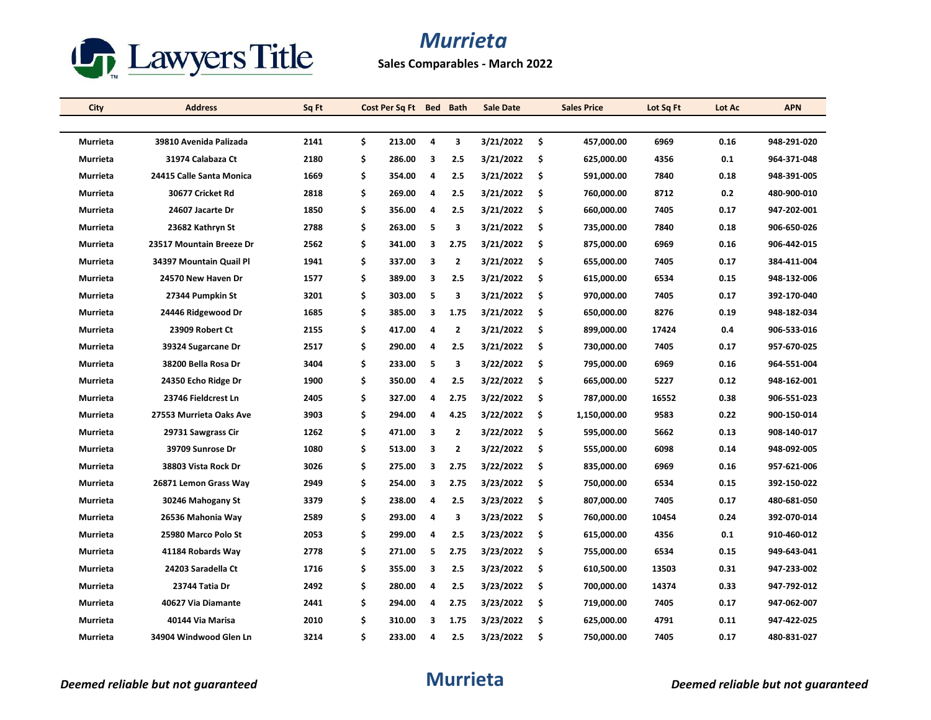

**Sales Comparables - March 2022**

| City            | <b>Address</b>           | Sq Ft | Cost Per Sq Ft Bed |                | <b>Bath</b>    | <b>Sale Date</b> | <b>Sales Price</b> | Lot Sq Ft | Lot Ac | <b>APN</b>  |
|-----------------|--------------------------|-------|--------------------|----------------|----------------|------------------|--------------------|-----------|--------|-------------|
|                 |                          |       |                    |                |                |                  |                    |           |        |             |
| Murrieta        | 39810 Avenida Palizada   | 2141  | \$<br>213.00       | $\overline{a}$ | 3              | 3/21/2022        | \$<br>457,000.00   | 6969      | 0.16   | 948-291-020 |
| Murrieta        | 31974 Calabaza Ct        | 2180  | \$<br>286.00       | З              | 2.5            | 3/21/2022        | \$<br>625,000.00   | 4356      | 0.1    | 964-371-048 |
| Murrieta        | 24415 Calle Santa Monica | 1669  | \$<br>354.00       | 4              | 2.5            | 3/21/2022        | \$<br>591,000.00   | 7840      | 0.18   | 948-391-005 |
| Murrieta        | 30677 Cricket Rd         | 2818  | \$<br>269.00       | 4              | 2.5            | 3/21/2022        | \$<br>760,000.00   | 8712      | 0.2    | 480-900-010 |
| Murrieta        | 24607 Jacarte Dr         | 1850  | \$<br>356.00       | 4              | 2.5            | 3/21/2022        | \$<br>660,000.00   | 7405      | 0.17   | 947-202-001 |
| Murrieta        | 23682 Kathryn St         | 2788  | \$<br>263.00       | 5              | 3              | 3/21/2022        | \$<br>735,000.00   | 7840      | 0.18   | 906-650-026 |
| Murrieta        | 23517 Mountain Breeze Dr | 2562  | \$<br>341.00       | 3              | 2.75           | 3/21/2022        | \$<br>875,000.00   | 6969      | 0.16   | 906-442-015 |
| Murrieta        | 34397 Mountain Quail Pl  | 1941  | \$<br>337.00       | 3              | $\overline{2}$ | 3/21/2022        | \$<br>655,000.00   | 7405      | 0.17   | 384-411-004 |
| Murrieta        | 24570 New Haven Dr       | 1577  | \$<br>389.00       | 3              | 2.5            | 3/21/2022        | \$<br>615,000.00   | 6534      | 0.15   | 948-132-006 |
| Murrieta        | 27344 Pumpkin St         | 3201  | \$<br>303.00       | 5              | 3              | 3/21/2022        | \$<br>970,000.00   | 7405      | 0.17   | 392-170-040 |
| Murrieta        | 24446 Ridgewood Dr       | 1685  | \$<br>385.00       | 3              | 1.75           | 3/21/2022        | \$<br>650,000.00   | 8276      | 0.19   | 948-182-034 |
| Murrieta        | 23909 Robert Ct          | 2155  | \$<br>417.00       | 4              | $\overline{2}$ | 3/21/2022        | \$<br>899,000.00   | 17424     | 0.4    | 906-533-016 |
| Murrieta        | 39324 Sugarcane Dr       | 2517  | \$<br>290.00       | 4              | 2.5            | 3/21/2022        | \$<br>730,000.00   | 7405      | 0.17   | 957-670-025 |
| Murrieta        | 38200 Bella Rosa Dr      | 3404  | \$<br>233.00       | 5              | 3              | 3/22/2022        | \$<br>795,000.00   | 6969      | 0.16   | 964-551-004 |
| Murrieta        | 24350 Echo Ridge Dr      | 1900  | \$<br>350.00       | 4              | 2.5            | 3/22/2022        | \$<br>665,000.00   | 5227      | 0.12   | 948-162-001 |
| Murrieta        | 23746 Fieldcrest Ln      | 2405  | \$<br>327.00       | 4              | 2.75           | 3/22/2022        | \$<br>787,000.00   | 16552     | 0.38   | 906-551-023 |
| <b>Murrieta</b> | 27553 Murrieta Oaks Ave  | 3903  | \$<br>294.00       | 4              | 4.25           | 3/22/2022        | \$<br>1,150,000.00 | 9583      | 0.22   | 900-150-014 |
| Murrieta        | 29731 Sawgrass Cir       | 1262  | \$<br>471.00       | 3              | $\overline{2}$ | 3/22/2022        | \$<br>595,000.00   | 5662      | 0.13   | 908-140-017 |
| Murrieta        | 39709 Sunrose Dr         | 1080  | \$<br>513.00       | 3              | $\overline{2}$ | 3/22/2022        | \$<br>555,000.00   | 6098      | 0.14   | 948-092-005 |
| Murrieta        | 38803 Vista Rock Dr      | 3026  | \$<br>275.00       | 3              | 2.75           | 3/22/2022        | \$<br>835,000.00   | 6969      | 0.16   | 957-621-006 |
| Murrieta        | 26871 Lemon Grass Way    | 2949  | \$<br>254.00       | 3              | 2.75           | 3/23/2022        | \$<br>750,000.00   | 6534      | 0.15   | 392-150-022 |
| Murrieta        | 30246 Mahogany St        | 3379  | \$<br>238.00       | 4              | 2.5            | 3/23/2022        | \$<br>807,000.00   | 7405      | 0.17   | 480-681-050 |
| Murrieta        | 26536 Mahonia Way        | 2589  | \$<br>293.00       | 4              | 3              | 3/23/2022        | \$<br>760,000.00   | 10454     | 0.24   | 392-070-014 |
| Murrieta        | 25980 Marco Polo St      | 2053  | \$<br>299.00       | 4              | 2.5            | 3/23/2022        | \$<br>615,000.00   | 4356      | 0.1    | 910-460-012 |
| Murrieta        | 41184 Robards Way        | 2778  | \$<br>271.00       | 5              | 2.75           | 3/23/2022        | \$<br>755,000.00   | 6534      | 0.15   | 949-643-041 |
| Murrieta        | 24203 Saradella Ct       | 1716  | \$<br>355.00       | 3              | 2.5            | 3/23/2022        | \$<br>610,500.00   | 13503     | 0.31   | 947-233-002 |
| Murrieta        | 23744 Tatia Dr           | 2492  | \$<br>280.00       | 4              | 2.5            | 3/23/2022        | \$<br>700,000.00   | 14374     | 0.33   | 947-792-012 |
| Murrieta        | 40627 Via Diamante       | 2441  | \$<br>294.00       | 4              | 2.75           | 3/23/2022        | \$<br>719,000.00   | 7405      | 0.17   | 947-062-007 |
| Murrieta        | 40144 Via Marisa         | 2010  | \$<br>310.00       | 3              | 1.75           | 3/23/2022        | \$<br>625,000.00   | 4791      | 0.11   | 947-422-025 |
| Murrieta        | 34904 Windwood Glen Ln   | 3214  | \$<br>233.00       | 4              | 2.5            | 3/23/2022        | \$<br>750,000.00   | 7405      | 0.17   | 480-831-027 |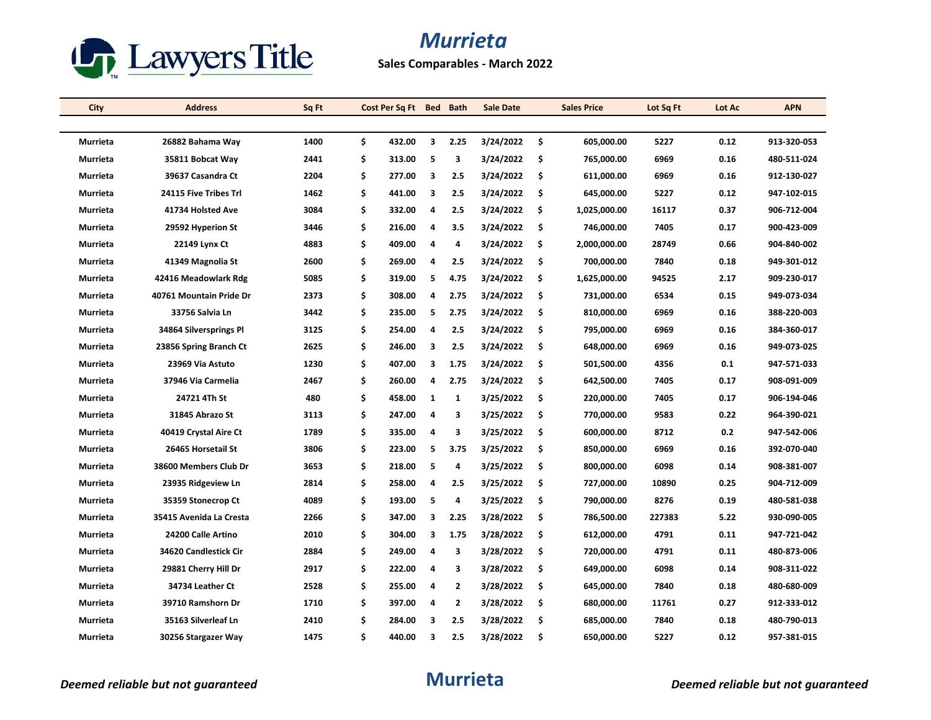

**Sales Comparables - March 2022**

| City            | <b>Address</b>          | Sq Ft | Cost Per Sq Ft | Bed          | <b>Bath</b>    | <b>Sale Date</b> |     | <b>Sales Price</b> | Lot Sq Ft | Lot Ac | <b>APN</b>  |
|-----------------|-------------------------|-------|----------------|--------------|----------------|------------------|-----|--------------------|-----------|--------|-------------|
|                 |                         |       |                |              |                |                  |     |                    |           |        |             |
| <b>Murrieta</b> | 26882 Bahama Way        | 1400  | \$<br>432.00   | 3            | 2.25           | 3/24/2022        | -\$ | 605,000.00         | 5227      | 0.12   | 913-320-053 |
| Murrieta        | 35811 Bobcat Way        | 2441  | \$<br>313.00   | 5            | 3              | 3/24/2022        | Ŝ.  | 765,000.00         | 6969      | 0.16   | 480-511-024 |
| Murrieta        | 39637 Casandra Ct       | 2204  | \$<br>277.00   | 3            | 2.5            | 3/24/2022        | \$  | 611,000.00         | 6969      | 0.16   | 912-130-027 |
| Murrieta        | 24115 Five Tribes Trl   | 1462  | \$<br>441.00   | 3            | 2.5            | 3/24/2022        | \$  | 645,000.00         | 5227      | 0.12   | 947-102-015 |
| Murrieta        | 41734 Holsted Ave       | 3084  | \$<br>332.00   | 4            | 2.5            | 3/24/2022        | -\$ | 1,025,000.00       | 16117     | 0.37   | 906-712-004 |
| Murrieta        | 29592 Hyperion St       | 3446  | \$<br>216.00   | 4            | 3.5            | 3/24/2022        | -\$ | 746,000.00         | 7405      | 0.17   | 900-423-009 |
| Murrieta        | 22149 Lynx Ct           | 4883  | \$<br>409.00   | 4            | 4              | 3/24/2022        | \$  | 2,000,000.00       | 28749     | 0.66   | 904-840-002 |
| Murrieta        | 41349 Magnolia St       | 2600  | \$<br>269.00   | 4            | 2.5            | 3/24/2022        | Ŝ.  | 700,000.00         | 7840      | 0.18   | 949-301-012 |
| Murrieta        | 42416 Meadowlark Rdg    | 5085  | \$<br>319.00   | 5            | 4.75           | 3/24/2022        | \$  | 1,625,000.00       | 94525     | 2.17   | 909-230-017 |
| Murrieta        | 40761 Mountain Pride Dr | 2373  | \$<br>308.00   | 4            | 2.75           | 3/24/2022        | \$  | 731,000.00         | 6534      | 0.15   | 949-073-034 |
| Murrieta        | 33756 Salvia Ln         | 3442  | \$<br>235.00   | 5            | 2.75           | 3/24/2022        | -S  | 810,000.00         | 6969      | 0.16   | 388-220-003 |
| Murrieta        | 34864 Silversprings Pl  | 3125  | \$<br>254.00   | 4            | 2.5            | 3/24/2022        | \$  | 795,000.00         | 6969      | 0.16   | 384-360-017 |
| Murrieta        | 23856 Spring Branch Ct  | 2625  | \$<br>246.00   | 3            | 2.5            | 3/24/2022        | \$  | 648,000.00         | 6969      | 0.16   | 949-073-025 |
| Murrieta        | 23969 Via Astuto        | 1230  | \$<br>407.00   | 3            | 1.75           | 3/24/2022        | -\$ | 501,500.00         | 4356      | 0.1    | 947-571-033 |
| Murrieta        | 37946 Via Carmelia      | 2467  | \$<br>260.00   | 4            | 2.75           | 3/24/2022        | \$  | 642,500.00         | 7405      | 0.17   | 908-091-009 |
| Murrieta        | 24721 4Th St            | 480   | \$<br>458.00   | $\mathbf{1}$ | 1              | 3/25/2022        | \$  | 220,000.00         | 7405      | 0.17   | 906-194-046 |
| Murrieta        | 31845 Abrazo St         | 3113  | \$<br>247.00   | 4            | з              | 3/25/2022        | -\$ | 770,000.00         | 9583      | 0.22   | 964-390-021 |
| Murrieta        | 40419 Crystal Aire Ct   | 1789  | \$<br>335.00   | 4            | 3              | 3/25/2022        | \$  | 600,000.00         | 8712      | 0.2    | 947-542-006 |
| Murrieta        | 26465 Horsetail St      | 3806  | \$<br>223.00   | 5            | 3.75           | 3/25/2022        | \$  | 850,000.00         | 6969      | 0.16   | 392-070-040 |
| Murrieta        | 38600 Members Club Dr   | 3653  | \$<br>218.00   | 5            | 4              | 3/25/2022        | -S  | 800,000.00         | 6098      | 0.14   | 908-381-007 |
| Murrieta        | 23935 Ridgeview Ln      | 2814  | \$<br>258.00   | 4            | 2.5            | 3/25/2022        | \$  | 727,000.00         | 10890     | 0.25   | 904-712-009 |
| Murrieta        | 35359 Stonecrop Ct      | 4089  | \$<br>193.00   | 5            | 4              | 3/25/2022        | -\$ | 790,000.00         | 8276      | 0.19   | 480-581-038 |
| Murrieta        | 35415 Avenida La Cresta | 2266  | \$<br>347.00   | 3            | 2.25           | 3/28/2022        | -\$ | 786,500.00         | 227383    | 5.22   | 930-090-005 |
| Murrieta        | 24200 Calle Artino      | 2010  | \$<br>304.00   | 3            | 1.75           | 3/28/2022        | \$  | 612,000.00         | 4791      | 0.11   | 947-721-042 |
| Murrieta        | 34620 Candlestick Cir   | 2884  | \$<br>249.00   | 4            | з              | 3/28/2022        | Ŝ.  | 720,000.00         | 4791      | 0.11   | 480-873-006 |
| Murrieta        | 29881 Cherry Hill Dr    | 2917  | \$<br>222.00   | 4            | 3              | 3/28/2022        | -\$ | 649,000.00         | 6098      | 0.14   | 908-311-022 |
| Murrieta        | 34734 Leather Ct        | 2528  | \$<br>255.00   | 4            | $\overline{2}$ | 3/28/2022        | \$. | 645,000.00         | 7840      | 0.18   | 480-680-009 |
| Murrieta        | 39710 Ramshorn Dr       | 1710  | \$<br>397.00   | 4            | $\mathbf{2}$   | 3/28/2022        | \$  | 680,000.00         | 11761     | 0.27   | 912-333-012 |
| Murrieta        | 35163 Silverleaf Ln     | 2410  | \$<br>284.00   | 3            | 2.5            | 3/28/2022        | \$  | 685,000.00         | 7840      | 0.18   | 480-790-013 |
| Murrieta        | 30256 Stargazer Way     | 1475  | \$<br>440.00   | 3            | 2.5            | 3/28/2022        | \$  | 650,000.00         | 5227      | 0.12   | 957-381-015 |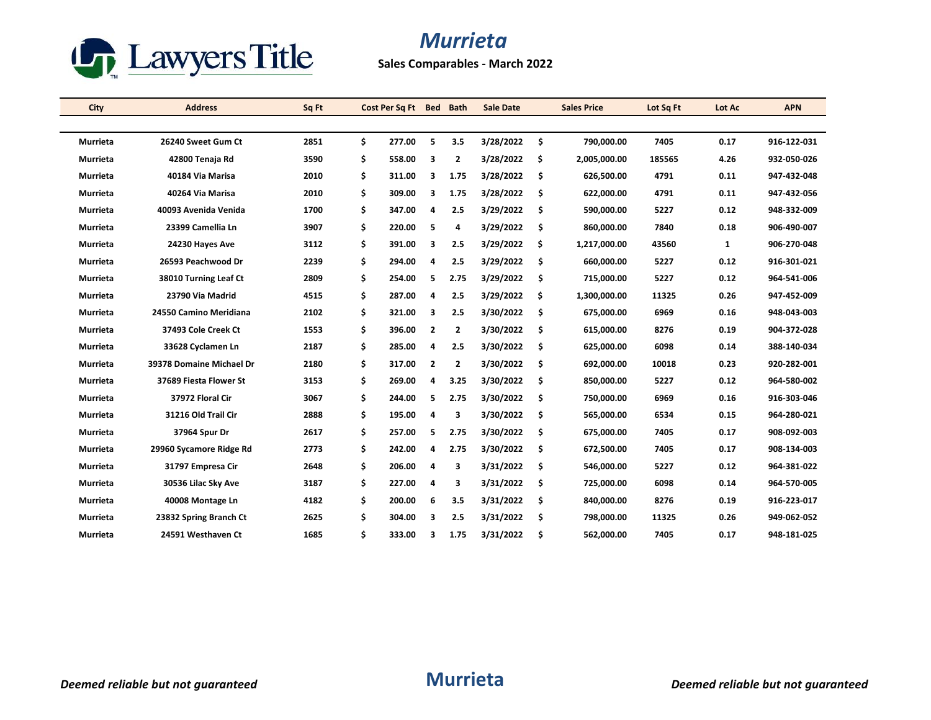

**Sales Comparables - March 2022**

| City            | <b>Address</b>           | Sq Ft | Cost Per Sq Ft | <b>Bed</b>     | <b>Bath</b>    | <b>Sale Date</b> |     | <b>Sales Price</b> | Lot Sq Ft | Lot Ac       | <b>APN</b>  |
|-----------------|--------------------------|-------|----------------|----------------|----------------|------------------|-----|--------------------|-----------|--------------|-------------|
|                 |                          |       |                |                |                |                  |     |                    |           |              |             |
| Murrieta        | 26240 Sweet Gum Ct       | 2851  | \$<br>277.00   | 5              | 3.5            | 3/28/2022        | \$. | 790,000.00         | 7405      | 0.17         | 916-122-031 |
| Murrieta        | 42800 Tenaja Rd          | 3590  | \$<br>558.00   | 3              | 2              | 3/28/2022        | \$  | 2,005,000.00       | 185565    | 4.26         | 932-050-026 |
| <b>Murrieta</b> | 40184 Via Marisa         | 2010  | \$<br>311.00   | 3              | 1.75           | 3/28/2022        | \$  | 626,500.00         | 4791      | 0.11         | 947-432-048 |
| Murrieta        | 40264 Via Marisa         | 2010  | \$<br>309.00   | 3              | 1.75           | 3/28/2022        | \$  | 622,000.00         | 4791      | 0.11         | 947-432-056 |
| Murrieta        | 40093 Avenida Venida     | 1700  | \$<br>347.00   | 4              | 2.5            | 3/29/2022        | \$. | 590,000.00         | 5227      | 0.12         | 948-332-009 |
| Murrieta        | 23399 Camellia Ln        | 3907  | \$<br>220.00   | 5              | 4              | 3/29/2022        | \$. | 860,000.00         | 7840      | 0.18         | 906-490-007 |
| Murrieta        | 24230 Hayes Ave          | 3112  | \$<br>391.00   | 3              | 2.5            | 3/29/2022        | \$  | 1,217,000.00       | 43560     | $\mathbf{1}$ | 906-270-048 |
| Murrieta        | 26593 Peachwood Dr       | 2239  | \$<br>294.00   | 4              | 2.5            | 3/29/2022        | \$  | 660,000.00         | 5227      | 0.12         | 916-301-021 |
| Murrieta        | 38010 Turning Leaf Ct    | 2809  | \$<br>254.00   | 5              | 2.75           | 3/29/2022        | \$  | 715,000.00         | 5227      | 0.12         | 964-541-006 |
| <b>Murrieta</b> | 23790 Via Madrid         | 4515  | \$<br>287.00   | 4              | 2.5            | 3/29/2022        | \$. | 1,300,000.00       | 11325     | 0.26         | 947-452-009 |
| <b>Murrieta</b> | 24550 Camino Meridiana   | 2102  | \$<br>321.00   | 3              | 2.5            | 3/30/2022        | Ŝ.  | 675.000.00         | 6969      | 0.16         | 948-043-003 |
| Murrieta        | 37493 Cole Creek Ct      | 1553  | \$<br>396.00   | 2              | $\overline{2}$ | 3/30/2022        | \$  | 615,000.00         | 8276      | 0.19         | 904-372-028 |
| Murrieta        | 33628 Cyclamen Ln        | 2187  | \$<br>285.00   | 4              | 2.5            | 3/30/2022        | \$  | 625,000.00         | 6098      | 0.14         | 388-140-034 |
| Murrieta        | 39378 Domaine Michael Dr | 2180  | \$<br>317.00   | $\overline{2}$ | $\overline{2}$ | 3/30/2022        | \$  | 692,000.00         | 10018     | 0.23         | 920-282-001 |
| Murrieta        | 37689 Fiesta Flower St   | 3153  | \$<br>269.00   | 4              | 3.25           | 3/30/2022        | \$. | 850,000.00         | 5227      | 0.12         | 964-580-002 |
| Murrieta        | 37972 Floral Cir         | 3067  | \$<br>244.00   | 5              | 2.75           | 3/30/2022        | \$. | 750,000.00         | 6969      | 0.16         | 916-303-046 |
| Murrieta        | 31216 Old Trail Cir      | 2888  | \$<br>195.00   | 4              | 3              | 3/30/2022        | \$  | 565,000.00         | 6534      | 0.15         | 964-280-021 |
| <b>Murrieta</b> | 37964 Spur Dr            | 2617  | \$<br>257.00   | 5              | 2.75           | 3/30/2022        | \$  | 675,000.00         | 7405      | 0.17         | 908-092-003 |
| Murrieta        | 29960 Sycamore Ridge Rd  | 2773  | \$<br>242.00   | 4              | 2.75           | 3/30/2022        | \$  | 672,500.00         | 7405      | 0.17         | 908-134-003 |
| Murrieta        | 31797 Empresa Cir        | 2648  | \$<br>206.00   | 4              | 3              | 3/31/2022        | \$  | 546,000.00         | 5227      | 0.12         | 964-381-022 |
| Murrieta        | 30536 Lilac Sky Ave      | 3187  | \$<br>227.00   | 4              | 3              | 3/31/2022        | Ŝ.  | 725,000.00         | 6098      | 0.14         | 964-570-005 |
| Murrieta        | 40008 Montage Ln         | 4182  | \$<br>200.00   | 6              | 3.5            | 3/31/2022        | \$  | 840,000.00         | 8276      | 0.19         | 916-223-017 |
| Murrieta        | 23832 Spring Branch Ct   | 2625  | \$<br>304.00   | 3              | 2.5            | 3/31/2022        | \$  | 798,000.00         | 11325     | 0.26         | 949-062-052 |
| Murrieta        | 24591 Westhaven Ct       | 1685  | \$<br>333.00   | 3              | 1.75           | 3/31/2022        | \$  | 562,000.00         | 7405      | 0.17         | 948-181-025 |